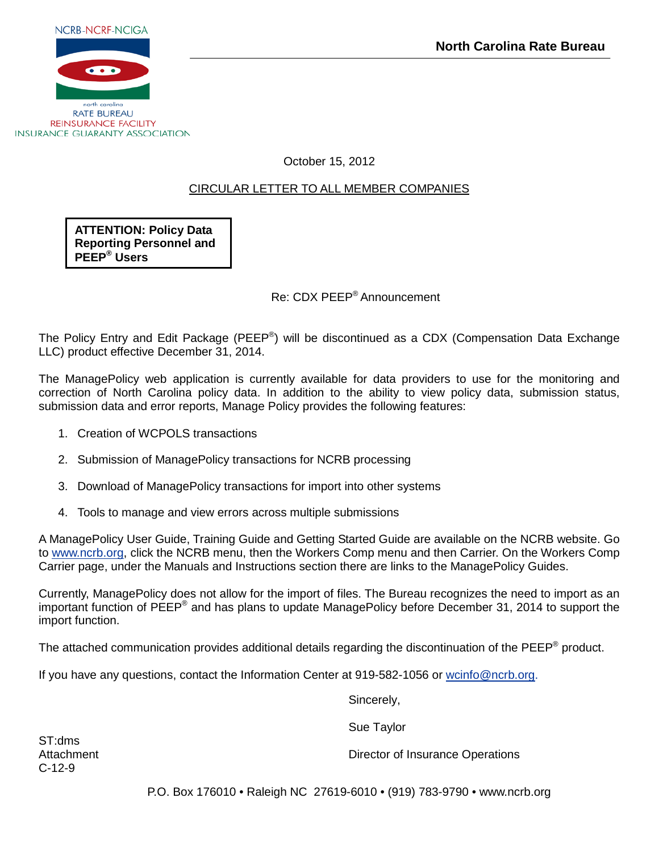

**RATE BUREAU REINSURANCE FACILITY INSURANCE GUARANTY ASSOCIATION** 

October 15, 2012

## CIRCULAR LETTER TO ALL MEMBER COMPANIES

**ATTENTION: Policy Data Reporting Personnel and PEEP® Users**

Re: CDX PEEP® Announcement

The Policy Entry and Edit Package (PEEP<sup>®</sup>) will be discontinued as a CDX (Compensation Data Exchange LLC) product effective December 31, 2014.

The ManagePolicy web application is currently available for data providers to use for the monitoring and correction of North Carolina policy data. In addition to the ability to view policy data, submission status, submission data and error reports, Manage Policy provides the following features:

- 1. Creation of WCPOLS transactions
- 2. Submission of ManagePolicy transactions for NCRB processing
- 3. Download of ManagePolicy transactions for import into other systems
- 4. Tools to manage and view errors across multiple submissions

A ManagePolicy User Guide, Training Guide and Getting Started Guide are available on the NCRB website. Go to [www.ncrb.org,](http://www.ncrb.org/) click the NCRB menu, then the Workers Comp menu and then Carrier. On the Workers Comp Carrier page, under the Manuals and Instructions section there are links to the ManagePolicy Guides.

Currently, ManagePolicy does not allow for the import of files. The Bureau recognizes the need to import as an important function of PEEP® and has plans to update ManagePolicy before December 31, 2014 to support the import function.

The attached communication provides additional details regarding the discontinuation of the PEEP<sup>®</sup> product.

If you have any questions, contact the Information Center at 919-582-1056 or [wcinfo@ncrb.org.](mailto:wcinfo@ncrb.org)

Sincerely,

Sue Taylor

ST:dms C-12-9

Attachment **Director of Insurance Operations** 

P.O. Box 176010 • Raleigh NC 27619-6010 • (919) 783-9790 • www.ncrb.org